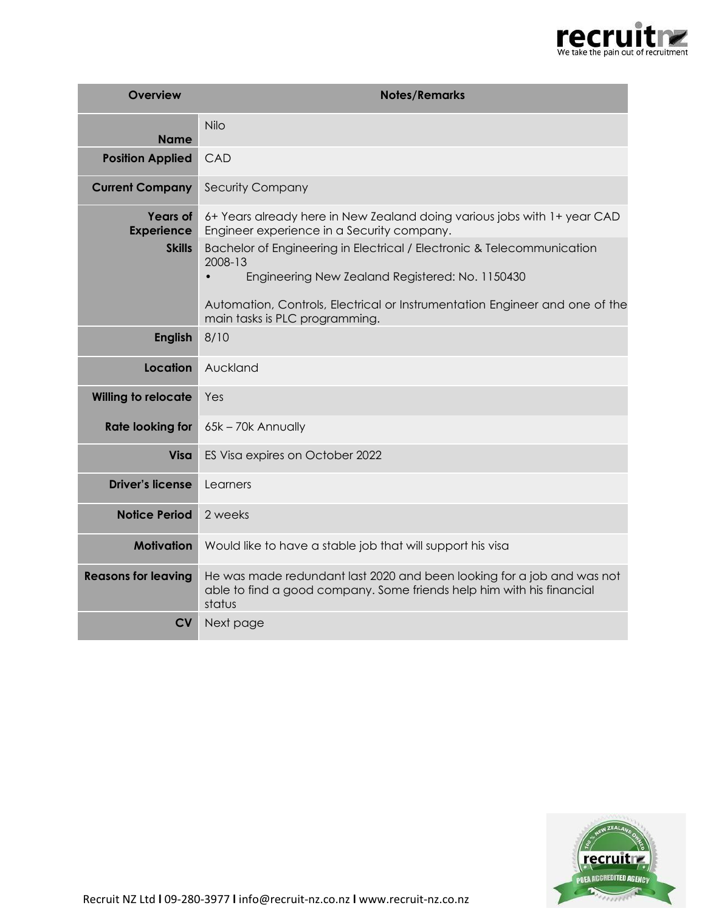

| <b>Overview</b>                      | <b>Notes/Remarks</b>                                                                                                                                      |
|--------------------------------------|-----------------------------------------------------------------------------------------------------------------------------------------------------------|
| <b>Name</b>                          | Nilo                                                                                                                                                      |
| <b>Position Applied</b>              | CAD                                                                                                                                                       |
| <b>Current Company</b>               | <b>Security Company</b>                                                                                                                                   |
| <b>Years of</b><br><b>Experience</b> | 6+ Years already here in New Zealand doing various jobs with 1+ year CAD<br>Engineer experience in a Security company.                                    |
| <b>Skills</b>                        | Bachelor of Engineering in Electrical / Electronic & Telecommunication<br>2008-13<br>Engineering New Zealand Registered: No. 1150430<br>$\bullet$         |
|                                      | Automation, Controls, Electrical or Instrumentation Engineer and one of the<br>main tasks is PLC programming.                                             |
| <b>English</b>                       | 8/10                                                                                                                                                      |
| Location                             | Auckland                                                                                                                                                  |
| <b>Willing to relocate</b>           | Yes                                                                                                                                                       |
| <b>Rate looking for</b>              | 65k - 70k Annually                                                                                                                                        |
| <b>Visa</b>                          | ES Visa expires on October 2022                                                                                                                           |
| <b>Driver's license</b>              | Learners                                                                                                                                                  |
| <b>Notice Period</b>                 | 2 weeks                                                                                                                                                   |
| <b>Motivation</b>                    | Would like to have a stable job that will support his visa                                                                                                |
| <b>Reasons for leaving</b>           | He was made redundant last 2020 and been looking for a job and was not<br>able to find a good company. Some friends help him with his financial<br>status |
| <b>CV</b>                            | Next page                                                                                                                                                 |



Recruit NZ Ltd **l** 09-280-3977 **l** info@recruit-nz.co.nz **l** www.recruit-nz.co.nz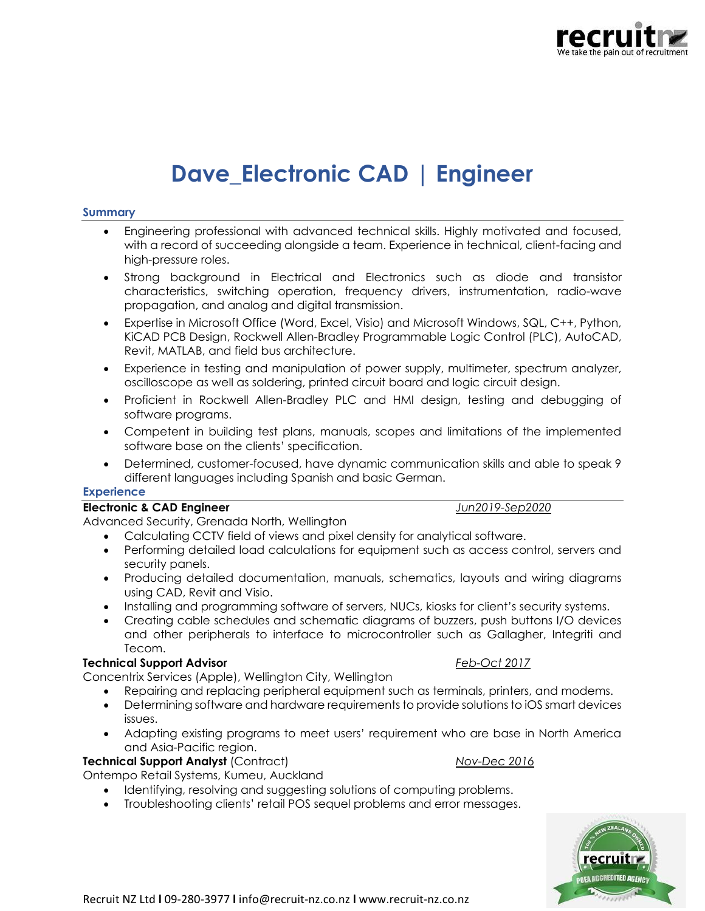

# **Dave\_Electronic CAD | Engineer**

### **Summary**

- Engineering professional with advanced technical skills. Highly motivated and focused, with a record of succeeding alongside a team. Experience in technical, client-facing and high-pressure roles.
- Strong background in Electrical and Electronics such as diode and transistor characteristics, switching operation, frequency drivers, instrumentation, radio-wave propagation, and analog and digital transmission.
- Expertise in Microsoft Office (Word, Excel, Visio) and Microsoft Windows, SQL, C++, Python, KiCAD PCB Design, Rockwell Allen-Bradley Programmable Logic Control (PLC), AutoCAD, Revit, MATLAB, and field bus architecture.
- Experience in testing and manipulation of power supply, multimeter, spectrum analyzer, oscilloscope as well as soldering, printed circuit board and logic circuit design.
- Proficient in Rockwell Allen-Bradley PLC and HMI design, testing and debugging of software programs.
- Competent in building test plans, manuals, scopes and limitations of the implemented software base on the clients' specification.
- Determined, customer-focused, have dynamic communication skills and able to speak 9 different languages including Spanish and basic German.

## **Experience**

### **Electronic & CAD Engineer** *Jun2019-Sep2020*

Advanced Security, Grenada North, Wellington

- Calculating CCTV field of views and pixel density for analytical software.
- Performing detailed load calculations for equipment such as access control, servers and security panels.
- Producing detailed documentation, manuals, schematics, layouts and wiring diagrams using CAD, Revit and Visio.
- Installing and programming software of servers, NUCs, kiosks for client's security systems.
- Creating cable schedules and schematic diagrams of buzzers, push buttons I/O devices and other peripherals to interface to microcontroller such as Gallagher, Integriti and Tecom.

### **Technical Support Advisor** *Feb-Oct 2017*

Concentrix Services (Apple), Wellington City, Wellington

- Repairing and replacing peripheral equipment such as terminals, printers, and modems.
- Determining software and hardware requirements to provide solutions to iOS smart devices issues.
- Adapting existing programs to meet users' requirement who are base in North America and Asia-Pacific region.

### **Technical Support Analyst** (Contract) *Nov-Dec 2016*

Ontempo Retail Systems, Kumeu, Auckland

- Identifying, resolving and suggesting solutions of computing problems.
- Troubleshooting clients' retail POS sequel problems and error messages.

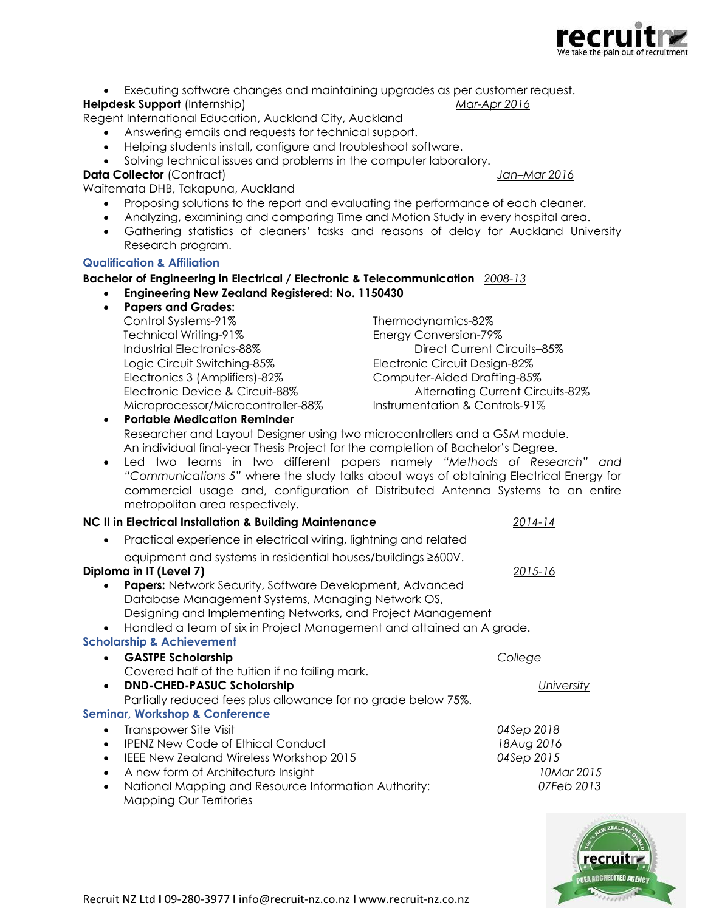

• Executing software changes and maintaining upgrades as per customer request.

### **Helpdesk Support** (Internship) *Mar-Apr 2016*

Regent International Education, Auckland City, Auckland

- Answering emails and requests for technical support.
- Helping students install, configure and troubleshoot software.
- Solving technical issues and problems in the computer laboratory.

### **Data Collector** (Contract) *Jan–Mar 2016*

Waitemata DHB, Takapuna, Auckland

- Proposing solutions to the report and evaluating the performance of each cleaner.
- Analyzing, examining and comparing Time and Motion Study in every hospital area.
- Gathering statistics of cleaners' tasks and reasons of delay for Auckland University Research program.

### **Qualification & Affiliation**

### **Bachelor of Engineering in Electrical / Electronic & Telecommunication** *2008-13*

- **Engineering New Zealand Registered: No. 1150430**
	- **Papers and Grades:**
	- Control Systems-91% Thermodynamics-82% Technical Writing-91% Energy Conversion-79% Industrial Electronics-88% Direct Current Circuits–85% Logic Circuit Switching-85% Electronic Circuit Design-82% Electronics 3 (Amplifiers)-82% Computer-Aided Drafting-85% Microprocessor/Microcontroller-88% Instrumentation & Controls-91% • **Portable Medication Reminder**

Electronic Device & Circuit-88% Alternating Current Circuits-82%

Researcher and Layout Designer using two microcontrollers and a GSM module. An individual final-year Thesis Project for the completion of Bachelor's Degree.

• Led two teams in two different papers namely *"Methods of Research" and "Communications 5"* where the study talks about ways of obtaining Electrical Energy for commercial usage and, configuration of Distributed Antenna Systems to an entire metropolitan area respectively.

| inchopolitan area respectively.                                                   |             |
|-----------------------------------------------------------------------------------|-------------|
| NC II in Electrical Installation & Building Maintenance                           | 2014-14     |
| Practical experience in electrical wiring, lightning and related<br>$\bullet$     |             |
| equipment and systems in residential houses/buildings ≥600V.                      |             |
| Diploma in IT (Level 7)                                                           | $2015 - 16$ |
| <b>Papers:</b> Network Security, Software Development, Advanced                   |             |
| Database Management Systems, Managing Network OS,                                 |             |
| Designing and Implementing Networks, and Project Management                       |             |
| Handled a team of six in Project Management and attained an A grade.<br>$\bullet$ |             |
| <b>Scholarship &amp; Achievement</b>                                              |             |
| <b>GASTPE Scholarship</b><br>$\bullet$                                            | College     |
| Covered half of the tuition if no failing mark.                                   |             |
| <b>DND-CHED-PASUC Scholarship</b>                                                 | University  |
| Partially reduced fees plus allowance for no grade below 75%.                     |             |
| <b>Seminar, Workshop &amp; Conference</b>                                         |             |
| Transpower Site Visit<br>$\bullet$                                                | 04Sep 2018  |
| <b>IPENZ New Code of Ethical Conduct</b><br>$\bullet$                             | 18Aug 2016  |
| <b>IEEE New Zealand Wireless Workshop 2015</b>                                    | 04Sep 2015  |
| A new form of Architecture Insight                                                | 10Mar 2015  |
| National Mapping and Resource Information Authority:                              | 07Feb 2013  |



Mapping Our Territories